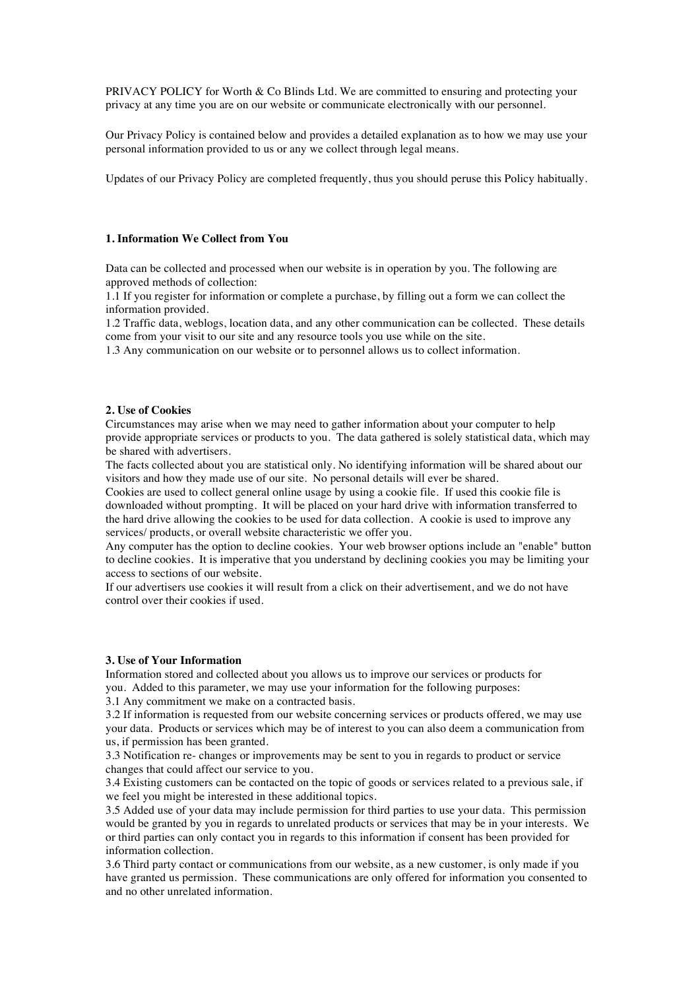PRIVACY POLICY for Worth & Co Blinds Ltd. We are committed to ensuring and protecting your privacy at any time you are on our website or communicate electronically with our personnel.

Our Privacy Policy is contained below and provides a detailed explanation as to how we may use your personal information provided to us or any we collect through legal means.

Updates of our Privacy Policy are completed frequently, thus you should peruse this Policy habitually.

# **1. Information We Collect from You**

Data can be collected and processed when our website is in operation by you. The following are approved methods of collection:

1.1 If you register for information or complete a purchase, by filling out a form we can collect the information provided.

1.2 Traffic data, weblogs, location data, and any other communication can be collected. These details come from your visit to our site and any resource tools you use while on the site.

1.3 Any communication on our website or to personnel allows us to collect information.

## **2. Use of Cookies**

Circumstances may arise when we may need to gather information about your computer to help provide appropriate services or products to you. The data gathered is solely statistical data, which may be shared with advertisers.

The facts collected about you are statistical only. No identifying information will be shared about our visitors and how they made use of our site. No personal details will ever be shared.

Cookies are used to collect general online usage by using a cookie file. If used this cookie file is downloaded without prompting. It will be placed on your hard drive with information transferred to the hard drive allowing the cookies to be used for data collection. A cookie is used to improve any services/ products, or overall website characteristic we offer you.

Any computer has the option to decline cookies. Your web browser options include an "enable" button to decline cookies. It is imperative that you understand by declining cookies you may be limiting your access to sections of our website.

If our advertisers use cookies it will result from a click on their advertisement, and we do not have control over their cookies if used.

### **3. Use of Your Information**

Information stored and collected about you allows us to improve our services or products for you. Added to this parameter, we may use your information for the following purposes:

3.1 Any commitment we make on a contracted basis.

3.2 If information is requested from our website concerning services or products offered, we may use your data. Products or services which may be of interest to you can also deem a communication from us, if permission has been granted.

3.3 Notification re- changes or improvements may be sent to you in regards to product or service changes that could affect our service to you.

3.4 Existing customers can be contacted on the topic of goods or services related to a previous sale, if we feel you might be interested in these additional topics.

3.5 Added use of your data may include permission for third parties to use your data. This permission would be granted by you in regards to unrelated products or services that may be in your interests. We or third parties can only contact you in regards to this information if consent has been provided for information collection.

3.6 Third party contact or communications from our website, as a new customer, is only made if you have granted us permission. These communications are only offered for information you consented to and no other unrelated information.